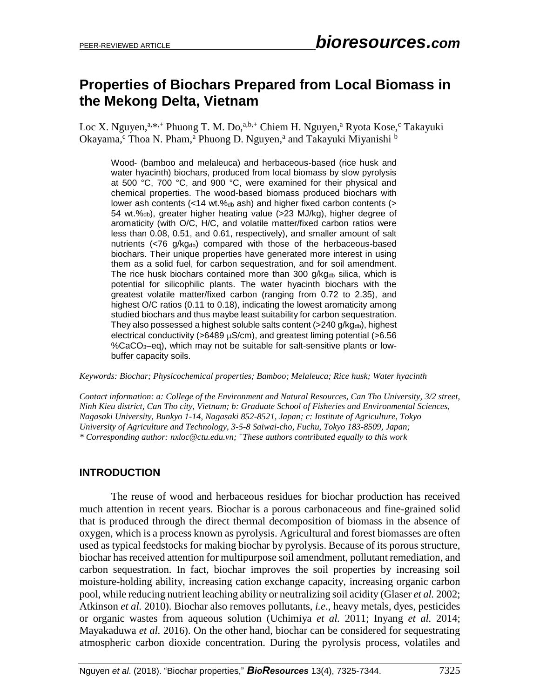# **Properties of Biochars Prepared from Local Biomass in the Mekong Delta, Vietnam**

Loc X. Nguyen,<sup>a,\*,+</sup> Phuong T. M. Do,<sup>a,b,+</sup> Chiem H. Nguyen,<sup>a</sup> Ryota Kose,<sup>c</sup> Takayuki Okayama,<sup>c</sup> Thoa N. Pham,<sup>a</sup> Phuong D. Nguyen,<sup>a</sup> and Takayuki Miyanishi b

Wood- (bamboo and melaleuca) and herbaceous-based (rice husk and water hyacinth) biochars, produced from local biomass by slow pyrolysis at 500 °C, 700 °C, and 900 °C, were examined for their physical and chemical properties. The wood-based biomass produced biochars with lower ash contents (<14 wt.‰b ash) and higher fixed carbon contents (> 54 wt.%db), greater higher heating value (>23 MJ/kg), higher degree of aromaticity (with O/C, H/C, and volatile matter/fixed carbon ratios were less than 0.08, 0.51, and 0.61, respectively), and smaller amount of salt nutrients  $\left\langle \langle 76 \rangle q / k q_{db} \right\rangle$  compared with those of the herbaceous-based biochars. Their unique properties have generated more interest in using them as a solid fuel, for carbon sequestration, and for soil amendment. The rice husk biochars contained more than 300  $q/kq_{db}$  silica, which is potential for silicophilic plants. The water hyacinth biochars with the greatest volatile matter/fixed carbon (ranging from 0.72 to 2.35), and highest O/C ratios (0.11 to 0.18), indicating the lowest aromaticity among studied biochars and thus maybe least suitability for carbon sequestration. They also possessed a highest soluble salts content ( $>$ 240 g/kg $_{db}$ ), highest electrical conductivity ( $>6489 \mu S/cm$ ), and greatest liming potential ( $>6.56$ ) %CaCO3–eq), which may not be suitable for salt-sensitive plants or lowbuffer capacity soils.

*Keywords: Biochar; Physicochemical properties; Bamboo; Melaleuca; Rice husk; Water hyacinth*

*Contact information: a: College of the Environment and Natural Resources, Can Tho University, 3/2 street, Ninh Kieu district, Can Tho city, Vietnam; b: Graduate School of Fisheries and Environmental Sciences, Nagasaki University, Bunkyo 1-14, Nagasaki 852-8521, Japan; c: Institute of Agriculture, Tokyo University of Agriculture and Technology, 3-5-8 Saiwai-cho, Fuchu, Tokyo 183-8509, Japan; \* Corresponding author: [nxloc@ctu.edu.](mailto:nxloc@ctu.edu)vn; <sup>+</sup>These authors contributed equally to this work*

## **INTRODUCTION**

The reuse of wood and herbaceous residues for biochar production has received much attention in recent years. Biochar is a porous carbonaceous and fine-grained solid that is produced through the direct thermal decomposition of biomass in the absence of oxygen, which is a process known as pyrolysis. Agricultural and forest biomasses are often used as typical feedstocks for making biochar by pyrolysis. Because of its porous structure, biochar has received attention for multipurpose soil amendment, pollutant remediation, and carbon sequestration. In fact, biochar improves the soil properties by increasing soil moisture-holding ability, increasing cation exchange capacity, increasing organic carbon pool, while reducing nutrient leaching ability or neutralizing soil acidity (Glaser *et al.* 2002; Atkinson *et al.* 2010). Biochar also removes pollutants, *i.e*., heavy metals, dyes, pesticides or organic wastes from aqueous solution (Uchimiya *et al.* 2011; Inyang *et al.* 2014; Mayakaduwa *et al.* 2016). On the other hand, biochar can be considered for sequestrating atmospheric carbon dioxide concentration. During the pyrolysis process, volatiles and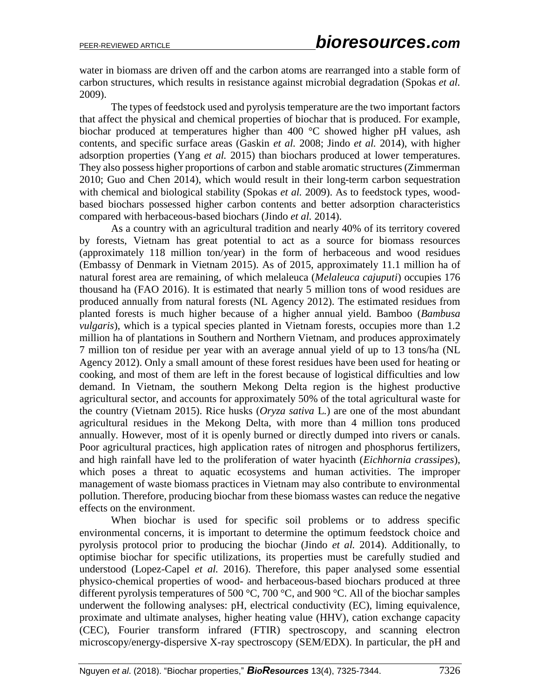water in biomass are driven off and the carbon atoms are rearranged into a stable form of carbon structures, which results in resistance against microbial degradation (Spokas *et al.* 2009).

The types of feedstock used and pyrolysis temperature are the two important factors that affect the physical and chemical properties of biochar that is produced. For example, biochar produced at temperatures higher than 400 °C showed higher pH values, ash contents, and specific surface areas (Gaskin *et al.* 2008; Jindo *et al.* 2014), with higher adsorption properties (Yang *et al.* 2015) than biochars produced at lower temperatures. They also possess higher proportions of carbon and stable aromatic structures (Zimmerman 2010; Guo and Chen 2014), which would result in their long-term carbon sequestration with chemical and biological stability (Spokas *et al.* 2009). As to feedstock types, woodbased biochars possessed higher carbon contents and better adsorption characteristics compared with herbaceous-based biochars (Jindo *et al.* 2014).

As a country with an agricultural tradition and nearly 40% of its territory covered by forests, Vietnam has great potential to act as a source for biomass resources (approximately 118 million ton/year) in the form of herbaceous and wood residues (Embassy of Denmark in Vietnam 2015). As of 2015, approximately 11.1 million ha of natural forest area are remaining, of which melaleuca (*Melaleuca cajuputi*) occupies 176 thousand ha (FAO 2016). It is estimated that nearly 5 million tons of wood residues are produced annually from natural forests (NL Agency 2012). The estimated residues from planted forests is much higher because of a higher annual yield. Bamboo (*Bambusa vulgaris*), which is a typical species planted in Vietnam forests, occupies more than 1.2 million ha of plantations in Southern and Northern Vietnam, and produces approximately 7 million ton of residue per year with an average annual yield of up to 13 tons/ha (NL Agency 2012). Only a small amount of these forest residues have been used for heating or cooking, and most of them are left in the forest because of logistical difficulties and low demand. In Vietnam, the southern Mekong Delta region is the highest productive agricultural sector, and accounts for approximately 50% of the total agricultural waste for the country (Vietnam 2015). Rice husks (*Oryza sativa* L*.*) are one of the most abundant agricultural residues in the Mekong Delta, with more than 4 million tons produced annually. However, most of it is openly burned or directly dumped into rivers or canals. Poor agricultural practices, high application rates of nitrogen and phosphorus fertilizers, and high rainfall have led to the proliferation of water hyacinth (*Eichhornia crassipes*), which poses a threat to aquatic ecosystems and human activities. The improper management of waste biomass practices in Vietnam may also contribute to environmental pollution. Therefore, producing biochar from these biomass wastes can reduce the negative effects on the environment.

When biochar is used for specific soil problems or to address specific environmental concerns, it is important to determine the optimum feedstock choice and pyrolysis protocol prior to producing the biochar (Jindo *et al.* 2014). Additionally, to optimise biochar for specific utilizations, its properties must be carefully studied and understood (Lopez-Capel *et al.* 2016). Therefore, this paper analysed some essential physico-chemical properties of wood- and herbaceous-based biochars produced at three different pyrolysis temperatures of 500  $\degree$ C, 700  $\degree$ C, and 900  $\degree$ C. All of the biochar samples underwent the following analyses: pH, electrical conductivity (EC), liming equivalence, proximate and ultimate analyses, higher heating value (HHV), cation exchange capacity (CEC), Fourier transform infrared (FTIR) spectroscopy, and scanning electron microscopy/energy-dispersive X-ray spectroscopy (SEM/EDX). In particular, the pH and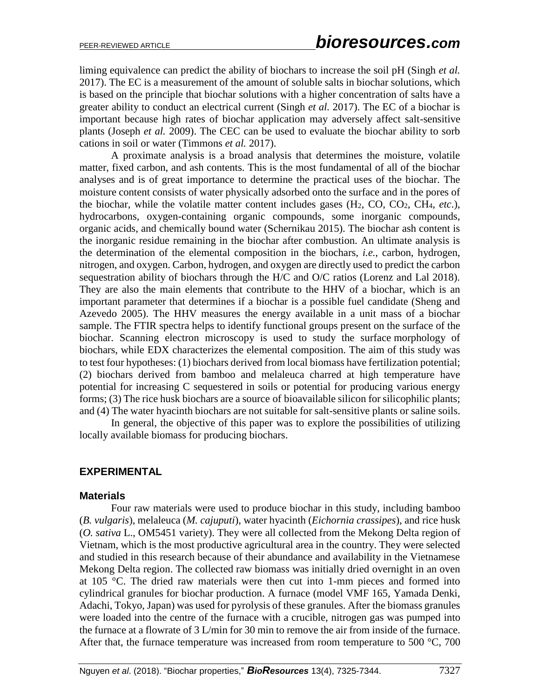liming equivalence can predict the ability of biochars to increase the soil pH (Singh *et al.* 2017). The EC is a measurement of the amount of soluble salts in biochar solutions, which is based on the principle that biochar solutions with a higher concentration of salts have a greater ability to conduct an electrical current (Singh *et al.* 2017). The EC of a biochar is important because high rates of biochar application may adversely affect salt-sensitive plants (Joseph *et al.* 2009). The CEC can be used to evaluate the biochar ability to sorb cations in soil or water (Timmons *et al.* 2017).

A proximate analysis is a broad analysis that determines the moisture, volatile matter, fixed carbon, and ash contents. This is the most fundamental of all of the biochar analyses and is of great importance to determine the practical uses of the biochar. The moisture content consists of water physically adsorbed onto the surface and in the pores of the biochar, while the volatile matter content includes gases  $(H_2, CO, CO_2, CH_4, etc.).$ hydrocarbons, oxygen-containing organic compounds, some inorganic compounds, organic acids, and chemically bound water (Schernikau 2015). The biochar ash content is the inorganic residue remaining in the biochar after combustion. An ultimate analysis is the determination of the elemental composition in the biochars, *i.e.*, carbon, hydrogen, nitrogen, and oxygen. Carbon, hydrogen, and oxygen are directly used to predict the carbon sequestration ability of biochars through the H/C and O/C ratios (Lorenz and Lal 2018). They are also the main elements that contribute to the HHV of a biochar, which is an important parameter that determines if a biochar is a possible fuel candidate (Sheng and Azevedo 2005). The HHV measures the energy available in a unit mass of a biochar sample. The FTIR spectra helps to identify functional groups present on the surface of the biochar. Scanning electron microscopy is used to study the surface morphology of biochars, while EDX characterizes the elemental composition. The aim of this study was to test four hypotheses: (1) biochars derived from local biomass have fertilization potential; (2) biochars derived from bamboo and melaleuca charred at high temperature have potential for increasing C sequestered in soils or potential for producing various energy forms; (3) The rice husk biochars are a source of bioavailable silicon for silicophilic plants; and (4) The water hyacinth biochars are not suitable for salt-sensitive plants or saline soils.

In general, the objective of this paper was to explore the possibilities of utilizing locally available biomass for producing biochars.

## **EXPERIMENTAL**

#### **Materials**

Four raw materials were used to produce biochar in this study, including bamboo (*B. vulgaris*), melaleuca (*M. cajuputi*), water hyacinth (*Eichornia crassipes*), and rice husk (*O. sativa* L., OM5451 variety). They were all collected from the Mekong Delta region of Vietnam, which is the most productive agricultural area in the country. They were selected and studied in this research because of their abundance and availability in the Vietnamese Mekong Delta region. The collected raw biomass was initially dried overnight in an oven at 105 °C. The dried raw materials were then cut into 1-mm pieces and formed into cylindrical granules for biochar production. A furnace (model VMF 165, Yamada Denki, Adachi, Tokyo, Japan) was used for pyrolysis of these granules. After the biomass granules were loaded into the centre of the furnace with a crucible, nitrogen gas was pumped into the furnace at a flowrate of 3 L/min for 30 min to remove the air from inside of the furnace. After that, the furnace temperature was increased from room temperature to 500  $^{\circ}$ C, 700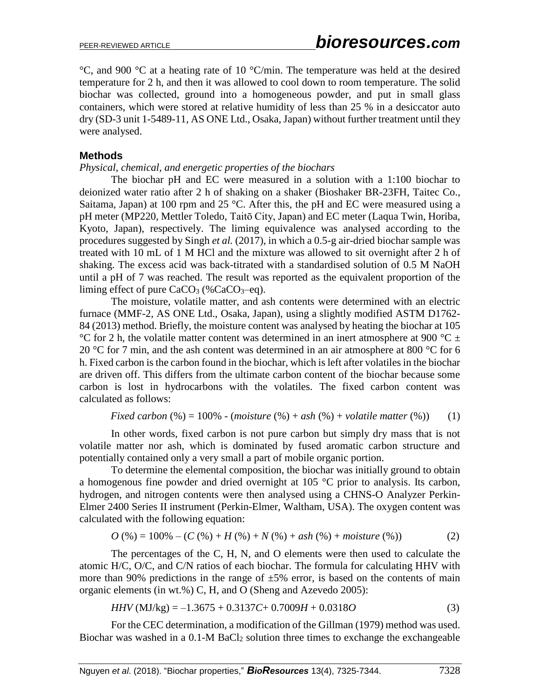$\degree$ C, and 900  $\degree$ C at a heating rate of 10  $\degree$ C/min. The temperature was held at the desired temperature for 2 h, and then it was allowed to cool down to room temperature. The solid biochar was collected, ground into a homogeneous powder, and put in small glass containers, which were stored at relative humidity of less than 25 % in a desiccator auto dry (SD-3 unit 1-5489-11, AS ONE Ltd., Osaka, Japan) without further treatment until they were analysed.

#### **Methods**

#### *Physical, chemical, and energetic properties of the biochars*

The biochar pH and EC were measured in a solution with a 1:100 biochar to deionized water ratio after 2 h of shaking on a shaker (Bioshaker BR-23FH, Taitec Co., Saitama, Japan) at 100 rpm and 25 °C. After this, the pH and EC were measured using a pH meter (MP220, Mettler Toledo, Taitō City, Japan) and EC meter (Laqua Twin, Horiba, Kyoto, Japan), respectively. The liming equivalence was analysed according to the procedures suggested by Singh *et al.* (2017), in which a 0.5-g air-dried biochar sample was treated with 10 mL of 1 M HCl and the mixture was allowed to sit overnight after 2 h of shaking. The excess acid was back-titrated with a standardised solution of 0.5 M NaOH until a pH of 7 was reached. The result was reported as the equivalent proportion of the liming effect of pure  $CaCO<sub>3</sub>$  (%CaCO<sub>3</sub>–eq).

The moisture, volatile matter, and ash contents were determined with an electric furnace (MMF-2, AS ONE Ltd., Osaka, Japan), using a slightly modified ASTM D1762- 84 (2013) method. Briefly, the moisture content was analysed by heating the biochar at 105 °C for 2 h, the volatile matter content was determined in an inert atmosphere at 900 °C  $\pm$ 20 °C for 7 min, and the ash content was determined in an air atmosphere at 800 °C for 6 h. Fixed carbon is the carbon found in the biochar, which is left after volatiles in the biochar are driven off. This differs from the ultimate carbon content of the biochar because some carbon is lost in hydrocarbons with the volatiles. The fixed carbon content was calculated as follows:

Fixed carbon (
$$
\%
$$
) = 100% - (moisture ( $\%$ ) + ash ( $\%$ ) + volatile matter ( $\%$ )) (1)

In other words, fixed carbon is not pure carbon but simply dry mass that is not volatile matter nor ash, which is dominated by fused aromatic carbon structure and potentially contained only a very small a part of mobile organic portion.

To determine the elemental composition, the biochar was initially ground to obtain a homogenous fine powder and dried overnight at 105 °C prior to analysis. Its carbon, hydrogen, and nitrogen contents were then analysed using a CHNS-O Analyzer Perkin-Elmer 2400 Series II instrument (Perkin-Elmer, Waltham, USA). The oxygen content was calculated with the following equation:

$$
O(%) = 100% - (C (%) + H (%) + N (%) + ash (%) + moisture (%) \tag{2}
$$

The percentages of the C, H, N, and O elements were then used to calculate the atomic H/C, O/C, and C/N ratios of each biochar. The formula for calculating HHV with more than 90% predictions in the range of  $\pm 5\%$  error, is based on the contents of main organic elements (in wt.%) C, H, and O (Sheng and Azevedo 2005):

$$
HHV (MJ/kg) = -1.3675 + 0.3137C + 0.7009H + 0.0318O
$$
\n(3)

For the CEC determination, a modification of the Gillman (1979) method was used. Biochar was washed in a  $0.1-M$  BaCl<sub>2</sub> solution three times to exchange the exchangeable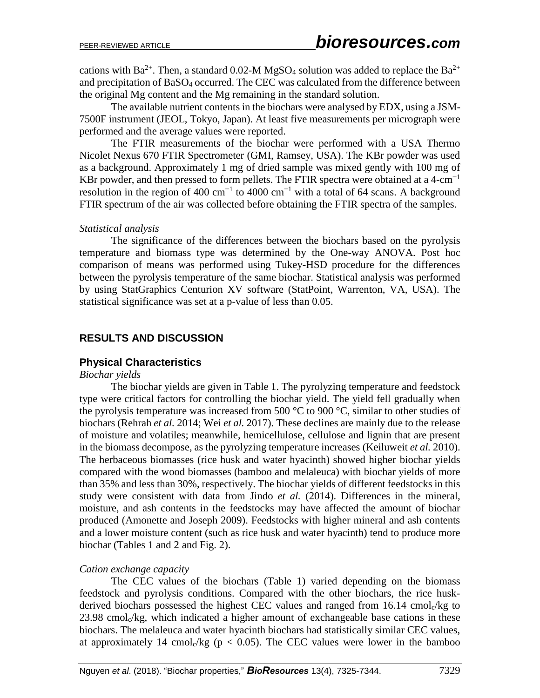cations with Ba<sup>2+</sup>. Then, a standard 0.02-M MgSO<sub>4</sub> solution was added to replace the Ba<sup>2+</sup> and precipitation of BaSO<sub>4</sub> occurred. The CEC was calculated from the difference between the original Mg content and the Mg remaining in the standard solution.

The available nutrient contents in the biochars were analysed by EDX, using a JSM-7500F instrument (JEOL, Tokyo, Japan). At least five measurements per micrograph were performed and the average values were reported.

The FTIR measurements of the biochar were performed with a USA Thermo Nicolet Nexus 670 FTIR Spectrometer (GMI, Ramsey, USA). The KBr powder was used as a background. Approximately 1 mg of dried sample was mixed gently with 100 mg of KBr powder, and then pressed to form pellets. The FTIR spectra were obtained at a 4-cm<sup>-1</sup> resolution in the region of 400 cm<sup>-1</sup> to 4000 cm<sup>-1</sup> with a total of 64 scans. A background FTIR spectrum of the air was collected before obtaining the FTIR spectra of the samples.

## *Statistical analysis*

The significance of the differences between the biochars based on the pyrolysis temperature and biomass type was determined by the One-way ANOVA. Post hoc comparison of means was performed using Tukey-HSD procedure for the differences between the pyrolysis temperature of the same biochar. Statistical analysis was performed by using StatGraphics Centurion XV software (StatPoint, Warrenton, VA, USA). The statistical significance was set at a p-value of less than 0.05.

# **RESULTS AND DISCUSSION**

## **Physical Characteristics**

## *Biochar yields*

The biochar yields are given in Table 1. The pyrolyzing temperature and feedstock type were critical factors for controlling the biochar yield. The yield fell gradually when the pyrolysis temperature was increased from 500  $\degree$ C to 900  $\degree$ C, similar to other studies of biochars (Rehrah *et al.* 2014; Wei *et al.* 2017). These declines are mainly due to the release of moisture and volatiles; meanwhile, hemicellulose, cellulose and lignin that are present in the biomass decompose, as the pyrolyzing temperature increases (Keiluweit *et al.* 2010). The herbaceous biomasses (rice husk and water hyacinth) showed higher biochar yields compared with the wood biomasses (bamboo and melaleuca) with biochar yields of more than 35% and less than 30%, respectively. The biochar yields of different feedstocks in this study were consistent with data from Jindo *et al.* (2014). Differences in the mineral, moisture, and ash contents in the feedstocks may have affected the amount of biochar produced (Amonette and Joseph 2009). Feedstocks with higher mineral and ash contents and a lower moisture content (such as rice husk and water hyacinth) tend to produce more biochar (Tables 1 and 2 and Fig. 2).

## *Cation exchange capacity*

The CEC values of the biochars (Table 1) varied depending on the biomass feedstock and pyrolysis conditions. Compared with the other biochars, the rice huskderived biochars possessed the highest CEC values and ranged from 16.14 cmol<sub>c</sub>/kg to  $23.98$  cmol $\sqrt{kg}$ , which indicated a higher amount of exchangeable base cations in these biochars. The melaleuca and water hyacinth biochars had statistically similar CEC values, at approximately 14 cmol $\sqrt{k}g$  (p < 0.05). The CEC values were lower in the bamboo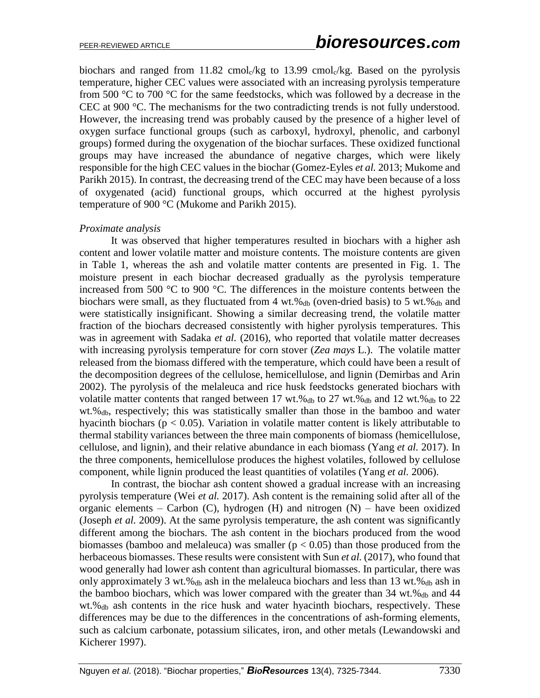biochars and ranged from  $11.82 \text{ cmol}_c/\text{kg}$  to  $13.99 \text{ cmol}_c/\text{kg}$ . Based on the pyrolysis temperature, higher CEC values were associated with an increasing pyrolysis temperature from 500 °C to 700 °C for the same feedstocks, which was followed by a decrease in the CEC at 900 °C. The mechanisms for the two contradicting trends is not fully understood. However, the increasing trend was probably caused by the presence of a higher level of oxygen surface functional groups (such as carboxyl, hydroxyl, phenolic, and carbonyl groups) formed during the oxygenation of the biochar surfaces. These oxidized functional groups may have increased the abundance of negative charges, which were likely responsible for the high CEC values in the biochar (Gomez-Eyles *et al.* 2013; Mukome and Parikh 2015). In contrast, the decreasing trend of the CEC may have been because of a loss of oxygenated (acid) functional groups, which occurred at the highest pyrolysis temperature of 900 °C (Mukome and Parikh 2015).

#### *Proximate analysis*

It was observed that higher temperatures resulted in biochars with a higher ash content and lower volatile matter and moisture contents. The moisture contents are given in Table 1, whereas the ash and volatile matter contents are presented in Fig. 1. The moisture present in each biochar decreased gradually as the pyrolysis temperature increased from 500 °C to 900 °C. The differences in the moisture contents between the biochars were small, as they fluctuated from 4 wt.% $_{db}$  (oven-dried basis) to 5 wt.% $_{db}$  and were statistically insignificant. Showing a similar decreasing trend, the volatile matter fraction of the biochars decreased consistently with higher pyrolysis temperatures. This was in agreement with Sadaka *et al.* (2016), who reported that volatile matter decreases with increasing pyrolysis temperature for corn stover (*Zea mays* L.). The volatile matter released from the biomass differed with the temperature, which could have been a result of the decomposition degrees of the cellulose, hemicellulose, and lignin (Demirbas and Arin 2002). The pyrolysis of the melaleuca and rice husk feedstocks generated biochars with volatile matter contents that ranged between 17 wt.% $_{db}$  to 27 wt.% $_{db}$  and 12 wt.% $_{db}$  to 22  $wt \mathscr{B}_{db}$ , respectively; this was statistically smaller than those in the bamboo and water hyacinth biochars ( $p < 0.05$ ). Variation in volatile matter content is likely attributable to thermal stability variances between the three main components of biomass (hemicellulose, cellulose, and lignin), and their relative abundance in each biomass (Yang *et al.* 2017). In the three components, hemicellulose produces the highest volatiles, followed by cellulose component, while lignin produced the least quantities of volatiles (Yang *et al.* 2006).

In contrast, the biochar ash content showed a gradual increase with an increasing pyrolysis temperature (Wei *et al.* 2017). Ash content is the remaining solid after all of the organic elements – Carbon (C), hydrogen (H) and nitrogen  $(N)$  – have been oxidized (Joseph *et al.* 2009). At the same pyrolysis temperature, the ash content was significantly different among the biochars. The ash content in the biochars produced from the wood biomasses (bamboo and melaleuca) was smaller ( $p < 0.05$ ) than those produced from the herbaceous biomasses. These results were consistent with Sun *et al.* (2017), who found that wood generally had lower ash content than agricultural biomasses. In particular, there was only approximately 3 wt.% $_{db}$  ash in the melaleuca biochars and less than 13 wt.% $_{db}$  ash in the bamboo biochars, which was lower compared with the greater than  $34 \text{ wt.} \%_{db}$  and  $44 \text{ wt.}$ wt.%db ash contents in the rice husk and water hyacinth biochars, respectively. These differences may be due to the differences in the concentrations of ash-forming elements, such as calcium carbonate, potassium silicates, iron, and other metals (Lewandowski and Kicherer 1997).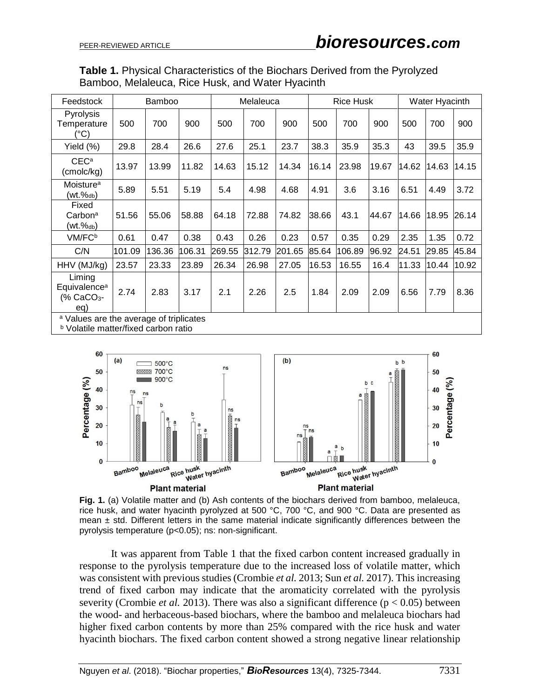| <b>Table 1.</b> Physical Characteristics of the Biochars Derived from the Pyrolyzed |
|-------------------------------------------------------------------------------------|
| Bamboo, Melaleuca, Rice Husk, and Water Hyacinth                                    |

| Feedstock                                                                                         | <b>Bamboo</b> |        |        |        | Melaleuca |        |       | <b>Rice Husk</b> |       | Water Hyacinth |       |       |
|---------------------------------------------------------------------------------------------------|---------------|--------|--------|--------|-----------|--------|-------|------------------|-------|----------------|-------|-------|
| Pyrolysis<br>Temperature<br>(°C)                                                                  | 500           | 700    | 900    | 500    | 700       | 900    | 500   | 700              | 900   | 500            | 700   | 900   |
| Yield $(\%)$                                                                                      | 29.8          | 28.4   | 26.6   | 27.6   | 25.1      | 23.7   | 38.3  | 35.9             | 35.3  | 43             | 39.5  | 35.9  |
| CEC <sup>a</sup><br>(cmolc/kg)                                                                    | 13.97         | 13.99  | 11.82  | 14.63  | 15.12     | 14.34  | 16.14 | 23.98            | 19.67 | 14.62          | 14.63 | 14.15 |
| Moisture <sup>a</sup><br>$(wt. \%_{db})$                                                          | 5.89          | 5.51   | 5.19   | 5.4    | 4.98      | 4.68   | 4.91  | 3.6              | 3.16  | 6.51           | 4.49  | 3.72  |
| Fixed<br>Carbon <sup>a</sup><br>(wt.‰b)                                                           | 51.56         | 55.06  | 58.88  | 64.18  | 72.88     | 74.82  | 38.66 | 43.1             | 44.67 | 14.66          | 18.95 | 26.14 |
| VM/FC <sup>b</sup>                                                                                | 0.61          | 0.47   | 0.38   | 0.43   | 0.26      | 0.23   | 0.57  | 0.35             | 0.29  | 2.35           | 1.35  | 0.72  |
| C/N                                                                                               | 101.09        | 136.36 | 106.31 | 269.55 | 312.79    | 201.65 | 85.64 | 106.89           | 96.92 | 24.51          | 29.85 | 45.84 |
| HHV (MJ/kg)                                                                                       | 23.57         | 23.33  | 23.89  | 26.34  | 26.98     | 27.05  | 16.53 | 16.55            | 16.4  | 11.33          | 10.44 | 10.92 |
| Liming<br>Equivalence <sup>a</sup><br>(% CaCO <sub>3</sub> -<br>eq)                               | 2.74          | 2.83   | 3.17   | 2.1    | 2.26      | 2.5    | 1.84  | 2.09             | 2.09  | 6.56           | 7.79  | 8.36  |
| <sup>a</sup> Values are the average of triplicates<br><b>b</b> Volatile matter/fixed carbon ratio |               |        |        |        |           |        |       |                  |       |                |       |       |





It was apparent from Table 1 that the fixed carbon content increased gradually in response to the pyrolysis temperature due to the increased loss of volatile matter, which was consistent with previous studies (Crombie *et al.* 2013; Sun *et al.* 2017). This increasing trend of fixed carbon may indicate that the aromaticity correlated with the pyrolysis severity (Crombie *et al.* 2013). There was also a significant difference ( $p < 0.05$ ) between the wood- and herbaceous-based biochars, where the bamboo and melaleuca biochars had higher fixed carbon contents by more than 25% compared with the rice husk and water hyacinth biochars. The fixed carbon content showed a strong negative linear relationship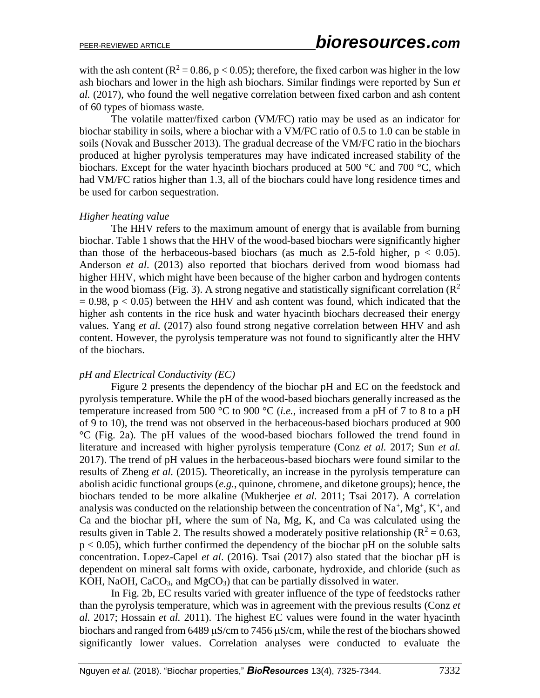with the ash content ( $\mathbb{R}^2 = 0.86$ , p < 0.05); therefore, the fixed carbon was higher in the low ash biochars and lower in the high ash biochars. Similar findings were reported by Sun *et al.* (2017), who found the well negative correlation between fixed carbon and ash content of 60 types of biomass waste*.*

The volatile matter/fixed carbon (VM/FC) ratio may be used as an indicator for biochar stability in soils, where a biochar with a VM/FC ratio of 0.5 to 1.0 can be stable in soils (Novak and Busscher 2013). The gradual decrease of the VM/FC ratio in the biochars produced at higher pyrolysis temperatures may have indicated increased stability of the biochars. Except for the water hyacinth biochars produced at 500 °C and 700 °C, which had VM/FC ratios higher than 1.3, all of the biochars could have long residence times and be used for carbon sequestration.

#### *Higher heating value*

The HHV refers to the maximum amount of energy that is available from burning biochar. Table 1 shows that the HHV of the wood-based biochars were significantly higher than those of the herbaceous-based biochars (as much as 2.5-fold higher,  $p < 0.05$ ). Anderson *et al.* (2013) also reported that biochars derived from wood biomass had higher HHV, which might have been because of the higher carbon and hydrogen contents in the wood biomass (Fig. 3). A strong negative and statistically significant correlation ( $\mathbb{R}^2$ )  $= 0.98$ ,  $p < 0.05$ ) between the HHV and ash content was found, which indicated that the higher ash contents in the rice husk and water hyacinth biochars decreased their energy values. Yang *et al.* (2017) also found strong negative correlation between HHV and ash content. However, the pyrolysis temperature was not found to significantly alter the HHV of the biochars.

#### *pH and Electrical Conductivity (EC)*

Figure 2 presents the dependency of the biochar pH and EC on the feedstock and pyrolysis temperature. While the pH of the wood-based biochars generally increased as the temperature increased from 500 °C to 900 °C (*i.e.*, increased from a pH of 7 to 8 to a pH of 9 to 10), the trend was not observed in the herbaceous-based biochars produced at 900 °C (Fig. 2a). The pH values of the wood-based biochars followed the trend found in literature and increased with higher pyrolysis temperature (Conz *et al.* 2017; Sun *et al.* 2017). The trend of pH values in the herbaceous-based biochars were found similar to the results of Zheng *et al.* (2015). Theoretically, an increase in the pyrolysis temperature can abolish acidic functional groups (*e.g.*, quinone, chromene, and diketone groups); hence, the biochars tended to be more alkaline (Mukherjee *et al.* 2011; Tsai 2017). A correlation analysis was conducted on the relationship between the concentration of  $Na^+$ ,  $Mg^+$ ,  $K^+$ , and Ca and the biochar pH, where the sum of Na, Mg, K, and Ca was calculated using the results given in Table 2. The results showed a moderately positive relationship ( $R^2 = 0.63$ ,  $p < 0.05$ ), which further confirmed the dependency of the biochar pH on the soluble salts concentration. Lopez-Capel *et al*. (2016). Tsai (2017) also stated that the biochar pH is dependent on mineral salt forms with oxide, carbonate, hydroxide, and chloride (such as KOH, NaOH,  $CaCO<sub>3</sub>$ , and MgCO<sub>3</sub>) that can be partially dissolved in water.

In Fig. 2b, EC results varied with greater influence of the type of feedstocks rather than the pyrolysis temperature, which was in agreement with the previous results (Conz *et al.* 2017; Hossain *et al.* 2011). The highest EC values were found in the water hyacinth biochars and ranged from  $6489 \mu S/cm$  to  $7456 \mu S/cm$ , while the rest of the biochars showed significantly lower values. Correlation analyses were conducted to evaluate the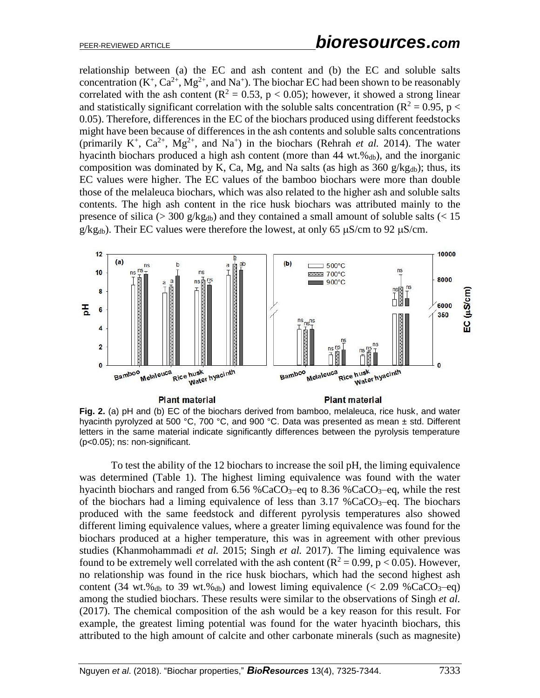relationship between (a) the EC and ash content and (b) the EC and soluble salts concentration ( $K^+$ ,  $Ca^{2+}$ ,  $Mg^{2+}$ , and  $Na^+$ ). The biochar EC had been shown to be reasonably correlated with the ash content ( $\mathbb{R}^2 = 0.53$ ,  $p < 0.05$ ); however, it showed a strong linear and statistically significant correlation with the soluble salts concentration ( $\mathbb{R}^2 = 0.95$ , p < 0.05). Therefore, differences in the EC of the biochars produced using different feedstocks might have been because of differences in the ash contents and soluble salts concentrations (primarily K<sup>+</sup>, Ca<sup>2+</sup>, Mg<sup>2+</sup>, and Na<sup>+</sup>) in the biochars (Rehrah *et al.* 2014). The water hyacinth biochars produced a high ash content (more than  $44 \text{ wt.} \%$ <sub>db</sub>), and the inorganic composition was dominated by K, Ca, Mg, and Na salts (as high as  $360 \frac{\text{g}}{\text{kg}}$ <sub>db</sub>); thus, its EC values were higher. The EC values of the bamboo biochars were more than double those of the melaleuca biochars, which was also related to the higher ash and soluble salts contents. The high ash content in the rice husk biochars was attributed mainly to the presence of silica ( $>$  300 g/kg<sub>db</sub>) and they contained a small amount of soluble salts ( $<$  15  $g/kg_{db}$ ). Their EC values were therefore the lowest, at only 65  $\mu$ S/cm to 92  $\mu$ S/cm.



**Fig. 2.** (a) pH and (b) EC of the biochars derived from bamboo, melaleuca, rice husk, and water hyacinth pyrolyzed at 500 °C, 700 °C, and 900 °C. Data was presented as mean ± std. Different letters in the same material indicate significantly differences between the pyrolysis temperature (p<0.05); ns: non-significant.

To test the ability of the 12 biochars to increase the soil pH, the liming equivalence was determined (Table 1). The highest liming equivalence was found with the water hyacinth biochars and ranged from  $6.56\%$ CaCO<sub>3</sub>-eq to  $8.36\%$ CaCO<sub>3</sub>-eq, while the rest of the biochars had a liming equivalence of less than  $3.17\%$ CaCO<sub>3</sub>–eq. The biochars produced with the same feedstock and different pyrolysis temperatures also showed different liming equivalence values, where a greater liming equivalence was found for the biochars produced at a higher temperature, this was in agreement with other previous studies (Khanmohammadi *et al.* 2015; Singh *et al.* 2017). The liming equivalence was found to be extremely well correlated with the ash content ( $R^2 = 0.99$ ,  $p < 0.05$ ). However, no relationship was found in the rice husk biochars, which had the second highest ash content (34 wt.% $_{db}$  to 39 wt.% $_{db}$ ) and lowest liming equivalence (< 2.09 %CaCO<sub>3</sub>–eq) among the studied biochars. These results were similar to the observations of Singh *et al.* (2017). The chemical composition of the ash would be a key reason for this result. For example, the greatest liming potential was found for the water hyacinth biochars, this attributed to the high amount of calcite and other carbonate minerals (such as magnesite)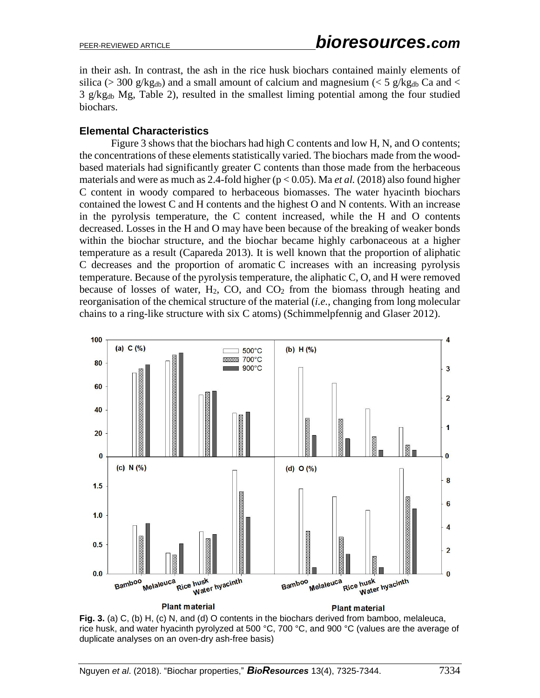in their ash. In contrast, the ash in the rice husk biochars contained mainly elements of silica (> 300 g/kg<sub>db</sub>) and a small amount of calcium and magnesium (< 5 g/kg<sub>db</sub> Ca and <  $3 \text{ g/kg}_{db}$  Mg, Table 2), resulted in the smallest liming potential among the four studied biochars.

#### **Elemental Characteristics**

Figure 3 shows that the biochars had high C contents and low H, N, and O contents; the concentrations of these elements statistically varied. The biochars made from the woodbased materials had significantly greater C contents than those made from the herbaceous materials and were as much as 2.4-fold higher (p < 0.05). Ma *et al.* (2018) also found higher C content in woody compared to herbaceous biomasses. The water hyacinth biochars contained the lowest C and H contents and the highest O and N contents. With an increase in the pyrolysis temperature, the C content increased, while the H and O contents decreased. Losses in the H and O may have been because of the breaking of weaker bonds within the biochar structure, and the biochar became highly carbonaceous at a higher temperature as a result (Capareda 2013). It is well known that the proportion of aliphatic C decreases and the proportion of aromatic C increases with an increasing pyrolysis temperature. Because of the pyrolysis temperature, the aliphatic C, O, and H were removed because of losses of water,  $H_2$ , CO, and  $CO_2$  from the biomass through heating and reorganisation of the chemical structure of the material (*i.e.*, changing from long molecular chains to a ring-like structure with six C atoms) (Schimmelpfennig and Glaser 2012).



**Fig. 3.** (a) C, (b) H, (c) N, and (d) O contents in the biochars derived from bamboo, melaleuca, rice husk, and water hyacinth pyrolyzed at 500 °C, 700 °C, and 900 °C (values are the average of duplicate analyses on an oven-dry ash-free basis)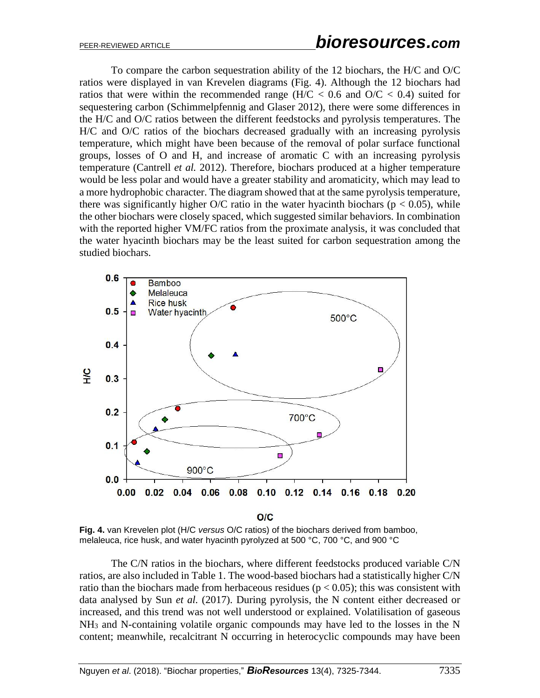To compare the carbon sequestration ability of the 12 biochars, the H/C and O/C ratios were displayed in van Krevelen diagrams (Fig. 4). Although the 12 biochars had ratios that were within the recommended range ( $H/C < 0.6$  and  $O/C < 0.4$ ) suited for sequestering carbon (Schimmelpfennig and Glaser 2012), there were some differences in the H/C and O/C ratios between the different feedstocks and pyrolysis temperatures. The H/C and O/C ratios of the biochars decreased gradually with an increasing pyrolysis temperature, which might have been because of the removal of polar surface functional groups, losses of O and H, and increase of aromatic C with an increasing pyrolysis temperature (Cantrell *et al.* 2012). Therefore, biochars produced at a higher temperature would be less polar and would have a greater stability and aromaticity, which may lead to a more hydrophobic character. The diagram showed that at the same pyrolysis temperature, there was significantly higher O/C ratio in the water hyacinth biochars ( $p < 0.05$ ), while the other biochars were closely spaced, which suggested similar behaviors. In combination with the reported higher VM/FC ratios from the proximate analysis, it was concluded that the water hyacinth biochars may be the least suited for carbon sequestration among the studied biochars.



**Fig. 4.** van Krevelen plot (H/C *versus* O/C ratios) of the biochars derived from bamboo, melaleuca, rice husk, and water hyacinth pyrolyzed at 500 °C, 700 °C, and 900 °C

The C/N ratios in the biochars, where different feedstocks produced variable C/N ratios, are also included in Table 1. The wood-based biochars had a statistically higher C/N ratio than the biochars made from herbaceous residues ( $p < 0.05$ ); this was consistent with data analysed by Sun *et al.* (2017). During pyrolysis, the N content either decreased or increased, and this trend was not well understood or explained. Volatilisation of gaseous NH<sup>3</sup> and N-containing volatile organic compounds may have led to the losses in the N content; meanwhile, recalcitrant N occurring in heterocyclic compounds may have been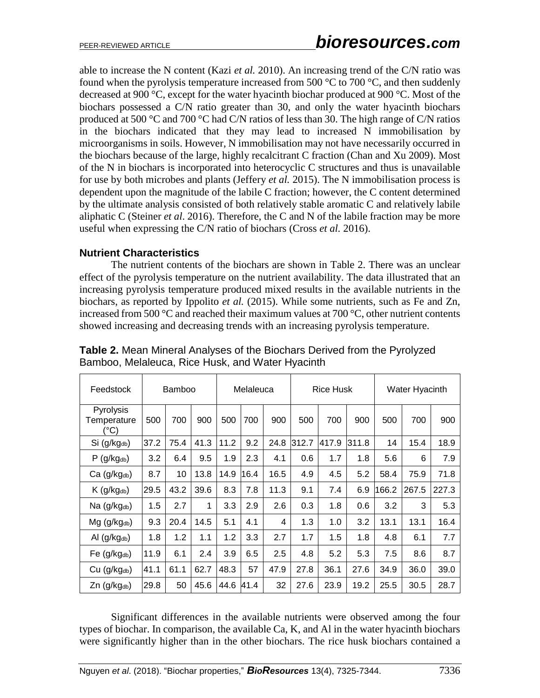able to increase the N content (Kazi *et al.* 2010). An increasing trend of the C/N ratio was found when the pyrolysis temperature increased from 500  $\degree$ C to 700  $\degree$ C, and then suddenly decreased at 900 °C, except for the water hyacinth biochar produced at 900 °C. Most of the biochars possessed a C/N ratio greater than 30, and only the water hyacinth biochars produced at 500 °C and 700 °C had C/N ratios of less than 30. The high range of C/N ratios in the biochars indicated that they may lead to increased N immobilisation by microorganisms in soils. However, N immobilisation may not have necessarily occurred in the biochars because of the large, highly recalcitrant C fraction (Chan and Xu 2009). Most of the N in biochars is incorporated into heterocyclic C structures and thus is unavailable for use by both microbes and plants (Jeffery *et al.* 2015). The N immobilisation process is dependent upon the magnitude of the labile C fraction; however, the C content determined by the ultimate analysis consisted of both relatively stable aromatic C and relatively labile aliphatic C (Steiner *et al*. 2016). Therefore, the C and N of the labile fraction may be more useful when expressing the C/N ratio of biochars (Cross *et al.* 2016).

## **Nutrient Characteristics**

The nutrient contents of the biochars are shown in Table 2. There was an unclear effect of the pyrolysis temperature on the nutrient availability. The data illustrated that an increasing pyrolysis temperature produced mixed results in the available nutrients in the biochars, as reported by Ippolito *et al.* (2015). While some nutrients, such as Fe and Zn, increased from 500 °C and reached their maximum values at 700 °C, other nutrient contents showed increasing and decreasing trends with an increasing pyrolysis temperature.

| Feedstock                        | Bamboo |      |      | Melaleuca |          |      |       | <b>Rice Husk</b> |       | Water Hyacinth |       |       |  |
|----------------------------------|--------|------|------|-----------|----------|------|-------|------------------|-------|----------------|-------|-------|--|
| Pyrolysis<br>Temperature<br>(°C) | 500    | 700  | 900  | 500       | 700      | 900  | 500   | 700              | 900   | 500            | 700   | 900   |  |
| Si (g/kgdb)                      | 37.2   | 75.4 | 41.3 | 11.2      | 9.2      | 24.8 | 312.7 | 417.9            | 311.8 | 14             | 15.4  | 18.9  |  |
| $P$ (g/kg <sub>db</sub> )        | 3.2    | 6.4  | 9.5  | 1.9       | 2.3      | 4.1  | 0.6   | 1.7              | 1.8   | 5.6            | 6     | 7.9   |  |
| Ca (g/kgdb)                      | 8.7    | 10   | 13.8 | 14.9      | 6.4<br>1 | 16.5 | 4.9   | 4.5              | 5.2   | 58.4           | 75.9  | 71.8  |  |
| $K$ (g/kg <sub>db</sub> )        | 29.5   | 43.2 | 39.6 | 8.3       | 7.8      | 11.3 | 9.1   | 7.4              | 6.9   | 166.2          | 267.5 | 227.3 |  |
| Na (g/kgdb)                      | 1.5    | 2.7  | 1    | 3.3       | 2.9      | 2.6  | 0.3   | 1.8              | 0.6   | 3.2            | 3     | 5.3   |  |
| Mg (g/kgdb)                      | 9.3    | 20.4 | 14.5 | 5.1       | 4.1      | 4    | 1.3   | 1.0              | 3.2   | 13.1           | 13.1  | 16.4  |  |
| Al $(g/kg_{db})$                 | 1.8    | 1.2  | 1.1  | 1.2       | 3.3      | 2.7  | 1.7   | 1.5              | 1.8   | 4.8            | 6.1   | 7.7   |  |
| Fe $(g/kg_{db})$                 | 11.9   | 6.1  | 2.4  | 3.9       | 6.5      | 2.5  | 4.8   | 5.2              | 5.3   | 7.5            | 8.6   | 8.7   |  |
| Cu (g/kgdb)                      | 41.1   | 61.1 | 62.7 | 48.3      | 57       | 47.9 | 27.8  | 36.1             | 27.6  | 34.9           | 36.0  | 39.0  |  |
| $Zn$ (g/kg <sub>db</sub> )       | 29.8   | 50   | 45.6 | 44.6      | 41.4     | 32   | 27.6  | 23.9             | 19.2  | 25.5           | 30.5  | 28.7  |  |

**Table 2.** Mean Mineral Analyses of the Biochars Derived from the Pyrolyzed Bamboo, Melaleuca, Rice Husk, and Water Hyacinth

Significant differences in the available nutrients were observed among the four types of biochar. In comparison, the available Ca, K, and Al in the water hyacinth biochars were significantly higher than in the other biochars. The rice husk biochars contained a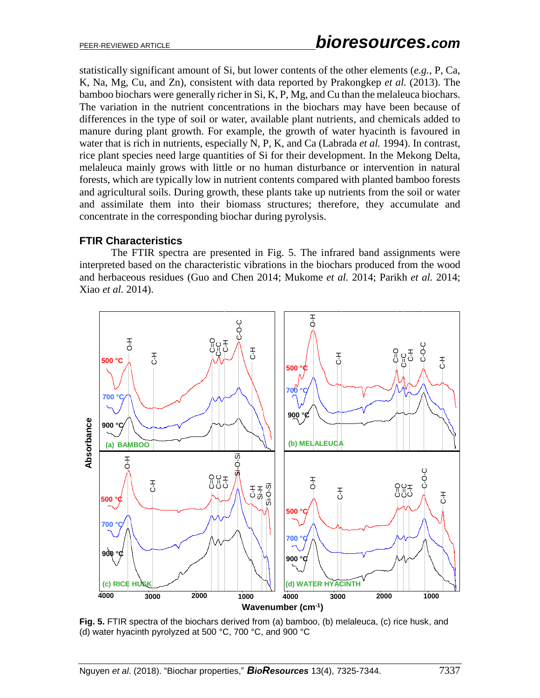statistically significant amount of Si, but lower contents of the other elements (*e.g.*, P, Ca, K, Na, Mg, Cu, and Zn), consistent with data reported by Prakongkep *et al.* (2013). The bamboo biochars were generally richer in Si, K, P, Mg, and Cu than the melaleuca biochars. The variation in the nutrient concentrations in the biochars may have been because of differences in the type of soil or water, available plant nutrients, and chemicals added to manure during plant growth. For example, the growth of water hyacinth is favoured in water that is rich in nutrients, especially N, P, K, and Ca (Labrada *et al.* 1994). In contrast, rice plant species need large quantities of Si for their development. In the Mekong Delta, melaleuca mainly grows with little or no human disturbance or intervention in natural forests, which are typically low in nutrient contents compared with planted bamboo forests and agricultural soils. During growth, these plants take up nutrients from the soil or water and assimilate them into their biomass structures; therefore, they accumulate and concentrate in the corresponding biochar during pyrolysis.

## **FTIR Characteristics**

The FTIR spectra are presented in Fig. 5. The infrared band assignments were interpreted based on the characteristic vibrations in the biochars produced from the wood and herbaceous residues (Guo and Chen 2014; Mukome *et al.* 2014; Parikh *et al.* 2014; Xiao *et al.* 2014).



**Fig. 5.** FTIR spectra of the biochars derived from (a) bamboo, (b) melaleuca, (c) rice husk, and (d) water hyacinth pyrolyzed at 500 °C, 700 °C, and 900 °C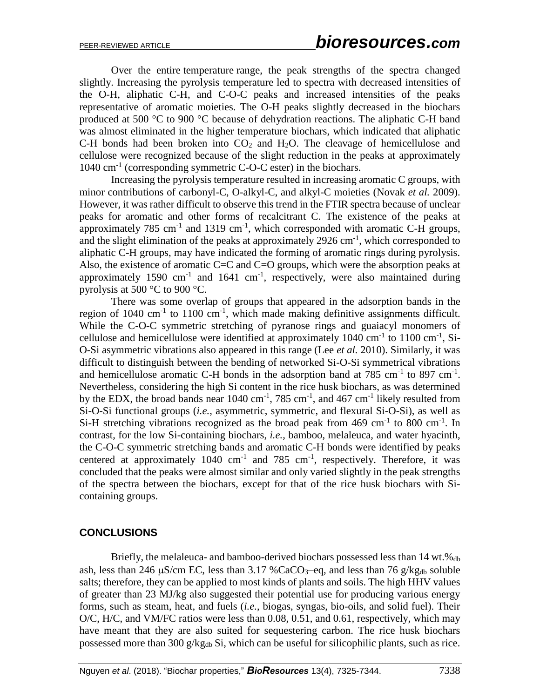Over the entire temperature range, the peak strengths of the spectra changed slightly. Increasing the pyrolysis temperature led to spectra with decreased intensities of the O-H, aliphatic C-H, and C-O-C peaks and increased intensities of the peaks representative of aromatic moieties. The O-H peaks slightly decreased in the biochars produced at 500 °C to 900 °C because of dehydration reactions. The aliphatic C-H band was almost eliminated in the higher temperature biochars, which indicated that aliphatic C-H bonds had been broken into  $CO<sub>2</sub>$  and  $H<sub>2</sub>O$ . The cleavage of hemicellulose and cellulose were recognized because of the slight reduction in the peaks at approximately 1040 cm<sup>-1</sup> (corresponding symmetric C-O-C ester) in the biochars.

Increasing the pyrolysis temperature resulted in increasing aromatic C groups, with minor contributions of carbonyl-C, O-alkyl-C, and alkyl-C moieties (Novak *et al.* 2009). However, it was rather difficult to observe this trend in the FTIR spectra because of unclear peaks for aromatic and other forms of recalcitrant C. The existence of the peaks at approximately 785 cm<sup>-1</sup> and 1319 cm<sup>-1</sup>, which corresponded with aromatic C-H groups, and the slight elimination of the peaks at approximately  $2926 \text{ cm}^{-1}$ , which corresponded to aliphatic C-H groups, may have indicated the forming of aromatic rings during pyrolysis. Also, the existence of aromatic C=C and C=O groups, which were the absorption peaks at approximately 1590  $cm^{-1}$  and 1641  $cm^{-1}$ , respectively, were also maintained during pyrolysis at 500 °C to 900 °C.

There was some overlap of groups that appeared in the adsorption bands in the region of 1040  $\text{cm}^{-1}$  to 1100  $\text{cm}^{-1}$ , which made making definitive assignments difficult. While the C-O-C symmetric stretching of pyranose rings and guaiacyl monomers of cellulose and hemicellulose were identified at approximately  $1040 \text{ cm}^{-1}$  to  $1100 \text{ cm}^{-1}$ , Si-O-Si asymmetric vibrations also appeared in this range (Lee *et al.* 2010). Similarly, it was difficult to distinguish between the bending of networked Si-O-Si symmetrical vibrations and hemicellulose aromatic C-H bonds in the adsorption band at 785 cm<sup>-1</sup> to 897 cm<sup>-1</sup>. Nevertheless, considering the high Si content in the rice husk biochars, as was determined by the EDX, the broad bands near  $1040 \text{ cm}^{-1}$ , 785 cm<sup>-1</sup>, and 467 cm<sup>-1</sup> likely resulted from Si-O-Si functional groups (*i.e.*, asymmetric, symmetric, and flexural Si-O-Si), as well as Si-H stretching vibrations recognized as the broad peak from 469 cm<sup>-1</sup> to 800 cm<sup>-1</sup>. In contrast, for the low Si-containing biochars, *i.e.*, bamboo, melaleuca, and water hyacinth, the C-O-C symmetric stretching bands and aromatic C-H bonds were identified by peaks centered at approximately 1040  $cm^{-1}$  and 785  $cm^{-1}$ , respectively. Therefore, it was concluded that the peaks were almost similar and only varied slightly in the peak strengths of the spectra between the biochars, except for that of the rice husk biochars with Sicontaining groups.

#### **CONCLUSIONS**

Briefly, the melaleuca- and bamboo-derived biochars possessed less than 14 wt.%db ash, less than 246  $\mu$ S/cm EC, less than 3.17 %CaCO<sub>3</sub>–eq, and less than 76 g/kg<sub>db</sub> soluble salts; therefore, they can be applied to most kinds of plants and soils. The high HHV values of greater than 23 MJ/kg also suggested their potential use for producing various energy forms, such as steam, heat, and fuels (*i.e.*, biogas, syngas, bio-oils, and solid fuel). Their O/C, H/C, and VM/FC ratios were less than 0.08, 0.51, and 0.61, respectively, which may have meant that they are also suited for sequestering carbon. The rice husk biochars possessed more than 300 g/kgdb Si, which can be useful for silicophilic plants, such as rice.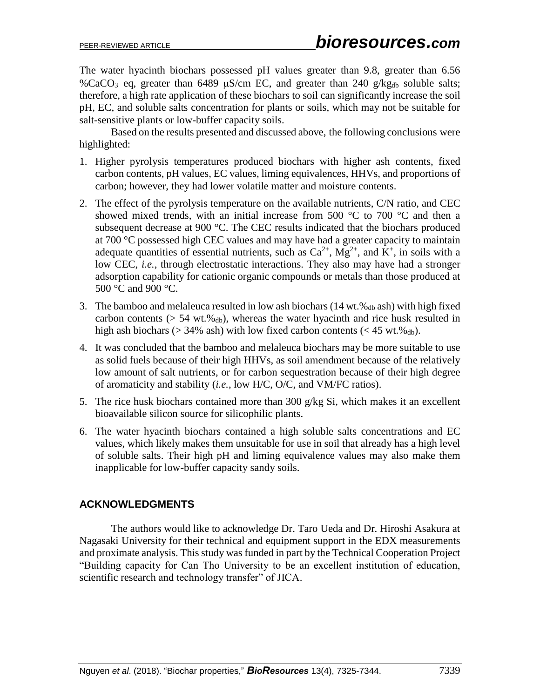The water hyacinth biochars possessed pH values greater than 9.8, greater than 6.56 %CaCO<sub>3</sub>–eq, greater than 6489  $\mu$ S/cm EC, and greater than 240 g/kg<sub>db</sub> soluble salts; therefore, a high rate application of these biochars to soil can significantly increase the soil pH, EC, and soluble salts concentration for plants or soils, which may not be suitable for salt-sensitive plants or low-buffer capacity soils.

Based on the results presented and discussed above, the following conclusions were highlighted:

- 1. Higher pyrolysis temperatures produced biochars with higher ash contents, fixed carbon contents, pH values, EC values, liming equivalences, HHVs, and proportions of carbon; however, they had lower volatile matter and moisture contents.
- 2. The effect of the pyrolysis temperature on the available nutrients, C/N ratio, and CEC showed mixed trends, with an initial increase from 500  $\degree$ C to 700  $\degree$ C and then a subsequent decrease at 900 °C. The CEC results indicated that the biochars produced at 700 °C possessed high CEC values and may have had a greater capacity to maintain adequate quantities of essential nutrients, such as  $Ca^{2+}$ ,  $Mg^{2+}$ , and K<sup>+</sup>, in soils with a low CEC, *i.e.*, through electrostatic interactions. They also may have had a stronger adsorption capability for cationic organic compounds or metals than those produced at 500 °C and 900 °C.
- 3. The bamboo and melaleuca resulted in low ash biochars  $(14 \text{ wt.}\%_{db} \text{ ash})$  with high fixed carbon contents ( $> 54$  wt.% $_{db}$ ), whereas the water hyacinth and rice husk resulted in high ash biochars ( $>$  34% ash) with low fixed carbon contents ( $<$  45 wt.% $_{db}$ ).
- 4. It was concluded that the bamboo and melaleuca biochars may be more suitable to use as solid fuels because of their high HHVs, as soil amendment because of the relatively low amount of salt nutrients, or for carbon sequestration because of their high degree of aromaticity and stability (*i.e.*, low H/C, O/C, and VM/FC ratios).
- 5. The rice husk biochars contained more than 300 g/kg Si, which makes it an excellent bioavailable silicon source for silicophilic plants.
- 6. The water hyacinth biochars contained a high soluble salts concentrations and EC values, which likely makes them unsuitable for use in soil that already has a high level of soluble salts. Their high pH and liming equivalence values may also make them inapplicable for low-buffer capacity sandy soils.

## **ACKNOWLEDGMENTS**

The authors would like to acknowledge Dr. Taro Ueda and Dr. Hiroshi Asakura at Nagasaki University for their technical and equipment support in the EDX measurements and proximate analysis. This study was funded in part by the Technical Cooperation Project "Building capacity for Can Tho University to be an excellent institution of education, scientific research and technology transfer" of JICA.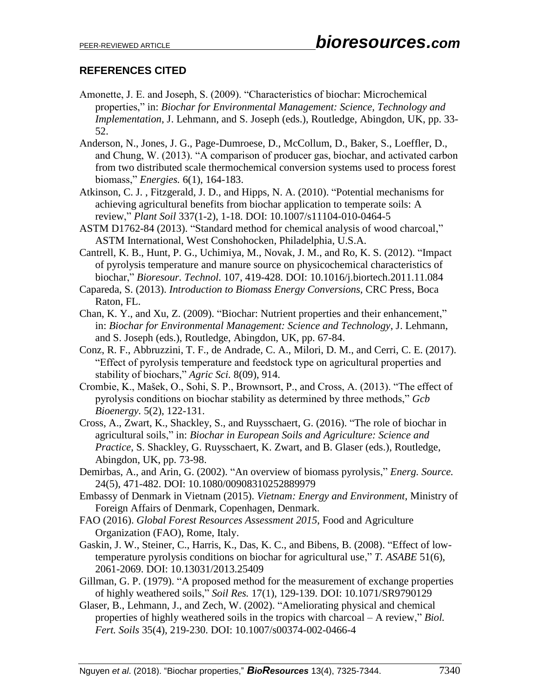# **REFERENCES CITED**

- Amonette, J. E. and Joseph, S. (2009). "Characteristics of biochar: Microchemical properties," in: *Biochar for Environmental Management: Science, Technology and Implementation*, J. Lehmann, and S. Joseph (eds.), Routledge, Abingdon, UK, pp. 33- 52.
- Anderson, N., Jones, J. G., Page-Dumroese, D., McCollum, D., Baker, S., Loeffler, D., and Chung, W. (2013). "A comparison of producer gas, biochar, and activated carbon from two distributed scale thermochemical conversion systems used to process forest biomass," *Energies.* 6(1), 164-183.
- Atkinson, C. J. , Fitzgerald, J. D., and Hipps, N. A. (2010). "Potential mechanisms for achieving agricultural benefits from biochar application to temperate soils: A review," *Plant Soil* 337(1-2), 1-18. DOI: 10.1007/s11104-010-0464-5
- ASTM D1762-84 (2013). "Standard method for chemical analysis of wood charcoal," ASTM International, West Conshohocken, Philadelphia, U.S.A.
- Cantrell, K. B., Hunt, P. G., Uchimiya, M., Novak, J. M., and Ro, K. S. (2012). "Impact of pyrolysis temperature and manure source on physicochemical characteristics of biochar," *Bioresour. Technol.* 107, 419-428. DOI: 10.1016/j.biortech.2011.11.084
- Capareda, S. (2013). *Introduction to Biomass Energy Conversions*, CRC Press, Boca Raton, FL.
- Chan, K. Y., and Xu, Z. (2009). "Biochar: Nutrient properties and their enhancement," in: *Biochar for Environmental Management: Science and Technology*, J. Lehmann, and S. Joseph (eds.), Routledge, Abingdon, UK, pp. 67-84.
- Conz, R. F., Abbruzzini, T. F., de Andrade, C. A., Milori, D. M., and Cerri, C. E. (2017). "Effect of pyrolysis temperature and feedstock type on agricultural properties and stability of biochars," *Agric Sci.* 8(09), 914.
- Crombie, K., Mašek, O., Sohi, S. P., Brownsort, P., and Cross, A. (2013). "The effect of pyrolysis conditions on biochar stability as determined by three methods," *Gcb Bioenergy.* 5(2), 122-131.
- Cross, A., Zwart, K., Shackley, S., and Ruysschaert, G. (2016). "The role of biochar in agricultural soils," in: *Biochar in European Soils and Agriculture: Science and Practice*, S. Shackley, G. Ruysschaert, K. Zwart, and B. Glaser (eds.), Routledge, Abingdon, UK, pp. 73-98.
- Demirbas, A., and Arin, G. (2002). "An overview of biomass pyrolysis," *Energ. Source.* 24(5), 471-482. DOI: 10.1080/00908310252889979
- Embassy of Denmark in Vietnam (2015). *Vietnam: Energy and Environment*, Ministry of Foreign Affairs of Denmark, Copenhagen, Denmark.
- FAO (2016). *Global Forest Resources Assessment 2015*, Food and Agriculture Organization (FAO), Rome, Italy.
- Gaskin, J. W., Steiner, C., Harris, K., Das, K. C., and Bibens, B. (2008). "Effect of lowtemperature pyrolysis conditions on biochar for agricultural use," *T. ASABE* 51(6), 2061-2069. DOI: 10.13031/2013.25409
- Gillman, G. P. (1979). "A proposed method for the measurement of exchange properties of highly weathered soils," *Soil Res.* 17(1), 129-139. DOI: 10.1071/SR9790129
- Glaser, B., Lehmann, J., and Zech, W. (2002). "Ameliorating physical and chemical properties of highly weathered soils in the tropics with charcoal – A review," *Biol. Fert. Soils* 35(4), 219-230. DOI: 10.1007/s00374-002-0466-4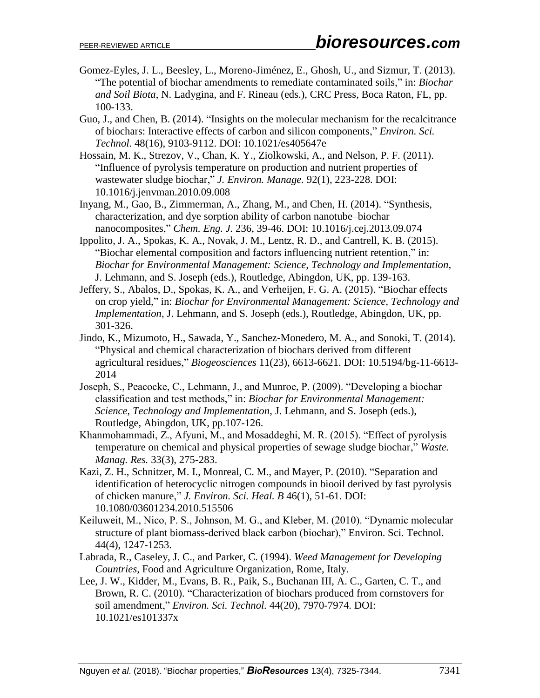- Gomez-Eyles, J. L., Beesley, L., Moreno-Jiménez, E., Ghosh, U., and Sizmur, T. (2013). "The potential of biochar amendments to remediate contaminated soils," in: *Biochar and Soil Biota*, N. Ladygina, and F. Rineau (eds.), CRC Press, Boca Raton, FL, pp. 100-133.
- Guo, J., and Chen, B. (2014). "Insights on the molecular mechanism for the recalcitrance of biochars: Interactive effects of carbon and silicon components," *Environ. Sci. Technol.* 48(16), 9103-9112. DOI: 10.1021/es405647e
- Hossain, M. K., Strezov, V., Chan, K. Y., Ziolkowski, A., and Nelson, P. F. (2011). "Influence of pyrolysis temperature on production and nutrient properties of wastewater sludge biochar," *J. Environ. Manage.* 92(1), 223-228. DOI: 10.1016/j.jenvman.2010.09.008
- Inyang, M., Gao, B., Zimmerman, A., Zhang, M., and Chen, H. (2014). "Synthesis, characterization, and dye sorption ability of carbon nanotube–biochar nanocomposites," *Chem. Eng. J.* 236, 39-46. DOI: 10.1016/j.cej.2013.09.074
- Ippolito, J. A., Spokas, K. A., Novak, J. M., Lentz, R. D., and Cantrell, K. B. (2015). "Biochar elemental composition and factors influencing nutrient retention," in: *Biochar for Environmental Management: Science, Technology and Implementation*, J. Lehmann, and S. Joseph (eds.), Routledge, Abingdon, UK, pp. 139-163.
- Jeffery, S., Abalos, D., Spokas, K. A., and Verheijen, F. G. A. (2015). "Biochar effects on crop yield," in: *Biochar for Environmental Management: Science, Technology and Implementation*, J. Lehmann, and S. Joseph (eds.), Routledge, Abingdon, UK, pp. 301-326.
- Jindo, K., Mizumoto, H., Sawada, Y., Sanchez-Monedero, M. A., and Sonoki, T. (2014). "Physical and chemical characterization of biochars derived from different agricultural residues," *Biogeosciences* 11(23), 6613-6621. DOI: 10.5194/bg-11-6613- 2014
- Joseph, S., Peacocke, C., Lehmann, J., and Munroe, P. (2009). "Developing a biochar classification and test methods," in: *Biochar for Environmental Management: Science, Technology and Implementation*, J. Lehmann, and S. Joseph (eds.), Routledge, Abingdon, UK, pp.107-126.
- Khanmohammadi, Z., Afyuni, M., and Mosaddeghi, M. R. (2015). "Effect of pyrolysis temperature on chemical and physical properties of sewage sludge biochar," *Waste. Manag. Res.* 33(3), 275-283.
- Kazi, Z. H., Schnitzer, M. I., Monreal, C. M., and Mayer, P. (2010). "Separation and identification of heterocyclic nitrogen compounds in biooil derived by fast pyrolysis of chicken manure," *J. Environ. Sci. Heal. B* 46(1), 51-61. DOI: 10.1080/03601234.2010.515506
- Keiluweit, M., Nico, P. S., Johnson, M. G., and Kleber, M. (2010). "Dynamic molecular structure of plant biomass-derived black carbon (biochar)," Environ. Sci. Technol. 44(4), 1247-1253.
- Labrada, R., Caseley, J. C., and Parker, C. (1994). *Weed Management for Developing Countries*, Food and Agriculture Organization, Rome, Italy.
- Lee, J. W., Kidder, M., Evans, B. R., Paik, S., Buchanan III, A. C., Garten, C. T., and Brown, R. C. (2010). "Characterization of biochars produced from cornstovers for soil amendment," *Environ. Sci. Technol.* 44(20), 7970-7974. DOI: 10.1021/es101337x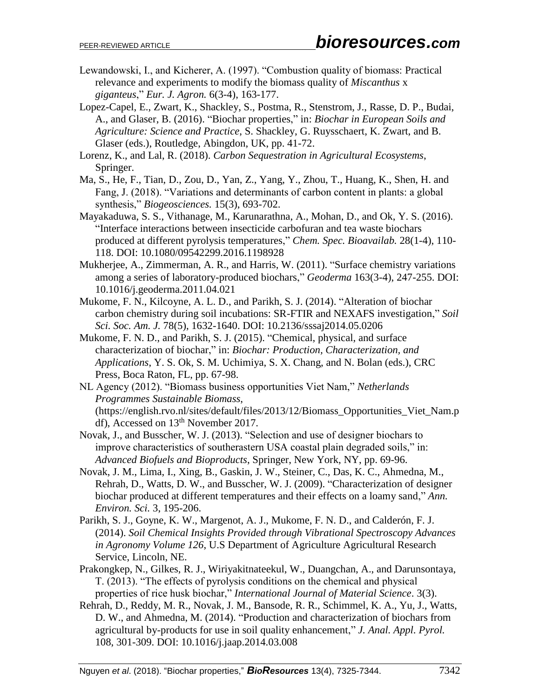- Lewandowski, I., and Kicherer, A. (1997). "Combustion quality of biomass: Practical relevance and experiments to modify the biomass quality of *Miscanthus* x *giganteus*," *Eur. J. Agron.* 6(3-4), 163-177.
- Lopez-Capel, E., Zwart, K., Shackley, S., Postma, R., Stenstrom, J., Rasse, D. P., Budai, A., and Glaser, B. (2016). "Biochar properties," in: *Biochar in European Soils and Agriculture: Science and Practice*, S. Shackley, G. Ruysschaert, K. Zwart, and B. Glaser (eds.), Routledge, Abingdon, UK, pp. 41-72.
- Lorenz, K., and Lal, R. (2018). *Carbon Sequestration in Agricultural Ecosystems*, Springer.
- Ma, S., He, F., Tian, D., Zou, D., Yan, Z., Yang, Y., Zhou, T., Huang, K., Shen, H. and Fang, J. (2018). "Variations and determinants of carbon content in plants: a global synthesis," *Biogeosciences.* 15(3), 693-702.
- Mayakaduwa, S. S., Vithanage, M., Karunarathna, A., Mohan, D., and Ok, Y. S. (2016). "Interface interactions between insecticide carbofuran and tea waste biochars produced at different pyrolysis temperatures," *Chem. Spec. Bioavailab.* 28(1-4), 110- 118. DOI: 10.1080/09542299.2016.1198928
- Mukherjee, A., Zimmerman, A. R., and Harris, W. (2011). "Surface chemistry variations among a series of laboratory-produced biochars," *Geoderma* 163(3-4), 247-255. DOI: 10.1016/j.geoderma.2011.04.021
- Mukome, F. N., Kilcoyne, A. L. D., and Parikh, S. J. (2014). "Alteration of biochar carbon chemistry during soil incubations: SR-FTIR and NEXAFS investigation," *Soil Sci. Soc. Am. J.* 78(5), 1632-1640. DOI: 10.2136/sssaj2014.05.0206
- Mukome, F. N. D., and Parikh, S. J. (2015). "Chemical, physical, and surface characterization of biochar," in: *Biochar: Production, Characterization, and Applications*, Y. S. Ok, S. M. Uchimiya, S. X. Chang, and N. Bolan (eds.), CRC Press, Boca Raton, FL, pp. 67-98.
- NL Agency (2012). "Biomass business opportunities Viet Nam," *Netherlands Programmes Sustainable Biomass*, (https://english.rvo.nl/sites/default/files/2013/12/Biomass\_Opportunities\_Viet\_Nam.p df), Accessed on 13<sup>th</sup> November 2017.
- Novak, J., and Busscher, W. J. (2013). "Selection and use of designer biochars to improve characteristics of southerastern USA coastal plain degraded soils," in: *Advanced Biofuels and Bioproducts*, Springer, New York, NY, pp. 69-96.
- Novak, J. M., Lima, I., Xing, B., Gaskin, J. W., Steiner, C., Das, K. C., Ahmedna, M., Rehrah, D., Watts, D. W., and Busscher, W. J. (2009). "Characterization of designer biochar produced at different temperatures and their effects on a loamy sand," *Ann. Environ. Sci.* 3, 195-206.
- Parikh, S. J., Goyne, K. W., Margenot, A. J., Mukome, F. N. D., and Calderón, F. J. (2014). *Soil Chemical Insights Provided through Vibrational Spectroscopy Advances in Agronomy Volume 126*, U.S Department of Agriculture Agricultural Research Service, Lincoln, NE.
- Prakongkep, N., Gilkes, R. J., Wiriyakitnateekul, W., Duangchan, A., and Darunsontaya, T. (2013). "The effects of pyrolysis conditions on the chemical and physical properties of rice husk biochar," *International Journal of Material Science*. 3(3).
- Rehrah, D., Reddy, M. R., Novak, J. M., Bansode, R. R., Schimmel, K. A., Yu, J., Watts, D. W., and Ahmedna, M. (2014). "Production and characterization of biochars from agricultural by-products for use in soil quality enhancement," *J. Anal. Appl. Pyrol.* 108, 301-309. DOI: 10.1016/j.jaap.2014.03.008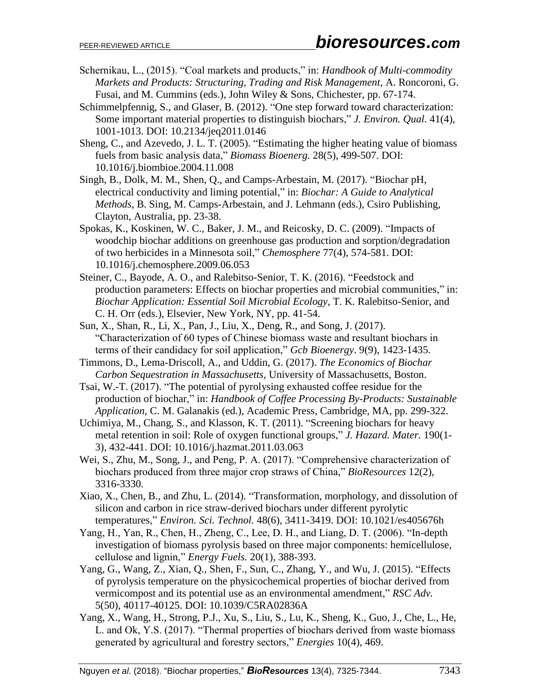- Schernikau, L., (2015). "Coal markets and products," in: *Handbook of Multi-commodity Markets and Products: Structuring, Trading and Risk Management*, A. Roncoroni, G. Fusai, and M. Cummins (eds.), John Wiley & Sons, Chichester, pp. 67-174.
- Schimmelpfennig, S., and Glaser, B. (2012). "One step forward toward characterization: Some important material properties to distinguish biochars," *J. Environ. Qual.* 41(4), 1001-1013. DOI: 10.2134/jeq2011.0146
- Sheng, C., and Azevedo, J. L. T. (2005). "Estimating the higher heating value of biomass fuels from basic analysis data," *Biomass Bioenerg.* 28(5), 499-507. DOI: 10.1016/j.biombioe.2004.11.008
- Singh, B., Dolk, M. M., Shen, Q., and Camps-Arbestain, M. (2017). "Biochar pH, electrical conductivity and liming potential," in: *Biochar: A Guide to Analytical Methods*, B. Sing, M. Camps-Arbestain, and J. Lehmann (eds.), Csiro Publishing, Clayton, Australia, pp. 23-38.
- Spokas, K., Koskinen, W. C., Baker, J. M., and Reicosky, D. C. (2009). "Impacts of woodchip biochar additions on greenhouse gas production and sorption/degradation of two herbicides in a Minnesota soil," *Chemosphere* 77(4), 574-581. DOI: 10.1016/j.chemosphere.2009.06.053
- Steiner, C., Bayode, A. O., and Ralebitso-Senior, T. K. (2016). "Feedstock and production parameters: Effects on biochar properties and microbial communities," in: *Biochar Application: Essential Soil Microbial Ecology*, T. K. Ralebitso-Senior, and C. H. Orr (eds.), Elsevier, New York, NY, pp. 41-54.
- Sun, X., Shan, R., Li, X., Pan, J., Liu, X., Deng, R., and Song, J. (2017). "Characterization of 60 types of Chinese biomass waste and resultant biochars in terms of their candidacy for soil application," *Gcb Bioenergy*. 9(9), 1423-1435.
- Timmons, D., Lema-Driscoll, A., and Uddin, G. (2017). *The Economics of Biochar Carbon Sequestration in Massachusetts*, University of Massachusetts, Boston.
- Tsai, W.-T. (2017). "The potential of pyrolysing exhausted coffee residue for the production of biochar," in: *Handbook of Coffee Processing By-Products: Sustainable Application*, C. M. Galanakis (ed.), Academic Press, Cambridge, MA, pp. 299-322.
- Uchimiya, M., Chang, S., and Klasson, K. T. (2011). "Screening biochars for heavy metal retention in soil: Role of oxygen functional groups," *J. Hazard. Mater.* 190(1- 3), 432-441. DOI: 10.1016/j.hazmat.2011.03.063
- Wei, S., Zhu, M., Song, J., and Peng, P. A. (2017). "Comprehensive characterization of biochars produced from three major crop straws of China," *BioResources* 12(2), 3316-3330.
- Xiao, X., Chen, B., and Zhu, L. (2014). "Transformation, morphology, and dissolution of silicon and carbon in rice straw-derived biochars under different pyrolytic temperatures," *Environ. Sci. Technol.* 48(6), 3411-3419. DOI: 10.1021/es405676h
- Yang, H., Yan, R., Chen, H., Zheng, C., Lee, D. H., and Liang, D. T. (2006). "In-depth investigation of biomass pyrolysis based on three major components: hemicellulose, cellulose and lignin," *Energy Fuels.* 20(1), 388-393.
- Yang, G., Wang, Z., Xian, Q., Shen, F., Sun, C., Zhang, Y., and Wu, J. (2015). "Effects of pyrolysis temperature on the physicochemical properties of biochar derived from vermicompost and its potential use as an environmental amendment," *RSC Adv.* 5(50), 40117-40125. DOI: 10.1039/C5RA02836A
- Yang, X., Wang, H., Strong, P.J., Xu, S., Liu, S., Lu, K., Sheng, K., Guo, J., Che, L., He, L. and Ok, Y.S. (2017). "Thermal properties of biochars derived from waste biomass generated by agricultural and forestry sectors," *Energies* 10(4), 469.